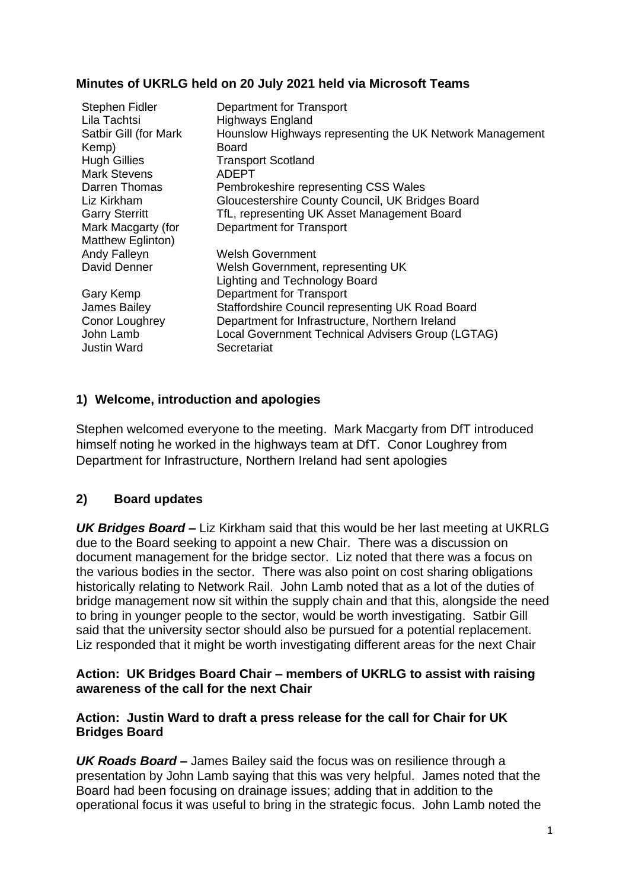#### **Minutes of UKRLG held on 20 July 2021 held via Microsoft Teams**

| Stephen Fidler<br>Lila Tachtsi<br>Satbir Gill (for Mark<br>Kemp)<br><b>Hugh Gillies</b><br><b>Mark Stevens</b><br>Darren Thomas<br>Liz Kirkham<br><b>Garry Sterritt</b><br>Mark Macgarty (for | Department for Transport<br><b>Highways England</b><br>Hounslow Highways representing the UK Network Management<br>Board<br><b>Transport Scotland</b><br><b>ADEPT</b><br>Pembrokeshire representing CSS Wales<br>Gloucestershire County Council, UK Bridges Board<br>TfL, representing UK Asset Management Board<br>Department for Transport |
|-----------------------------------------------------------------------------------------------------------------------------------------------------------------------------------------------|----------------------------------------------------------------------------------------------------------------------------------------------------------------------------------------------------------------------------------------------------------------------------------------------------------------------------------------------|
| Matthew Eglinton)<br>Andy Falleyn<br>David Denner                                                                                                                                             | Welsh Government<br>Welsh Government, representing UK                                                                                                                                                                                                                                                                                        |
| Gary Kemp<br>James Bailey<br>Conor Loughrey<br>John Lamb<br><b>Justin Ward</b>                                                                                                                | <b>Lighting and Technology Board</b><br>Department for Transport<br>Staffordshire Council representing UK Road Board<br>Department for Infrastructure, Northern Ireland<br>Local Government Technical Advisers Group (LGTAG)<br>Secretariat                                                                                                  |

#### **1) Welcome, introduction and apologies**

Stephen welcomed everyone to the meeting. Mark Macgarty from DfT introduced himself noting he worked in the highways team at DfT. Conor Loughrey from Department for Infrastructure, Northern Ireland had sent apologies

### **2) Board updates**

*UK Bridges Board* **–** Liz Kirkham said that this would be her last meeting at UKRLG due to the Board seeking to appoint a new Chair. There was a discussion on document management for the bridge sector. Liz noted that there was a focus on the various bodies in the sector. There was also point on cost sharing obligations historically relating to Network Rail. John Lamb noted that as a lot of the duties of bridge management now sit within the supply chain and that this, alongside the need to bring in younger people to the sector, would be worth investigating. Satbir Gill said that the university sector should also be pursued for a potential replacement. Liz responded that it might be worth investigating different areas for the next Chair

#### **Action: UK Bridges Board Chair – members of UKRLG to assist with raising awareness of the call for the next Chair**

#### **Action: Justin Ward to draft a press release for the call for Chair for UK Bridges Board**

*UK Roads Board* **–** James Bailey said the focus was on resilience through a presentation by John Lamb saying that this was very helpful. James noted that the Board had been focusing on drainage issues; adding that in addition to the operational focus it was useful to bring in the strategic focus. John Lamb noted the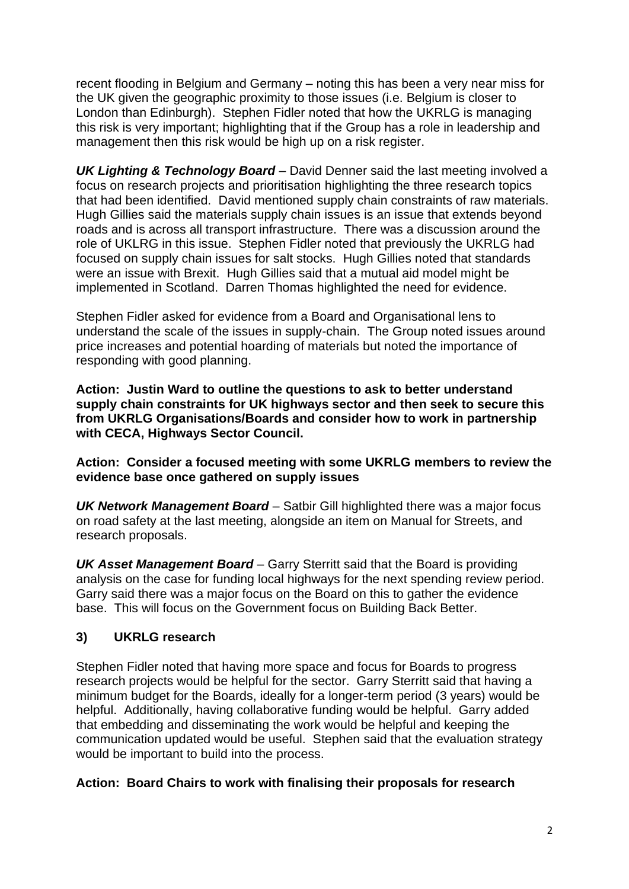recent flooding in Belgium and Germany – noting this has been a very near miss for the UK given the geographic proximity to those issues (i.e. Belgium is closer to London than Edinburgh). Stephen Fidler noted that how the UKRLG is managing this risk is very important; highlighting that if the Group has a role in leadership and management then this risk would be high up on a risk register.

*UK Lighting & Technology Board* – David Denner said the last meeting involved a focus on research projects and prioritisation highlighting the three research topics that had been identified. David mentioned supply chain constraints of raw materials. Hugh Gillies said the materials supply chain issues is an issue that extends beyond roads and is across all transport infrastructure. There was a discussion around the role of UKLRG in this issue. Stephen Fidler noted that previously the UKRLG had focused on supply chain issues for salt stocks. Hugh Gillies noted that standards were an issue with Brexit. Hugh Gillies said that a mutual aid model might be implemented in Scotland. Darren Thomas highlighted the need for evidence.

Stephen Fidler asked for evidence from a Board and Organisational lens to understand the scale of the issues in supply-chain. The Group noted issues around price increases and potential hoarding of materials but noted the importance of responding with good planning.

**Action: Justin Ward to outline the questions to ask to better understand supply chain constraints for UK highways sector and then seek to secure this from UKRLG Organisations/Boards and consider how to work in partnership with CECA, Highways Sector Council.** 

**Action: Consider a focused meeting with some UKRLG members to review the evidence base once gathered on supply issues**

*UK Network Management Board* – Satbir Gill highlighted there was a major focus on road safety at the last meeting, alongside an item on Manual for Streets, and research proposals.

*UK Asset Management Board* – Garry Sterritt said that the Board is providing analysis on the case for funding local highways for the next spending review period. Garry said there was a major focus on the Board on this to gather the evidence base. This will focus on the Government focus on Building Back Better.

### **3) UKRLG research**

Stephen Fidler noted that having more space and focus for Boards to progress research projects would be helpful for the sector. Garry Sterritt said that having a minimum budget for the Boards, ideally for a longer-term period (3 years) would be helpful. Additionally, having collaborative funding would be helpful. Garry added that embedding and disseminating the work would be helpful and keeping the communication updated would be useful. Stephen said that the evaluation strategy would be important to build into the process.

#### **Action: Board Chairs to work with finalising their proposals for research**